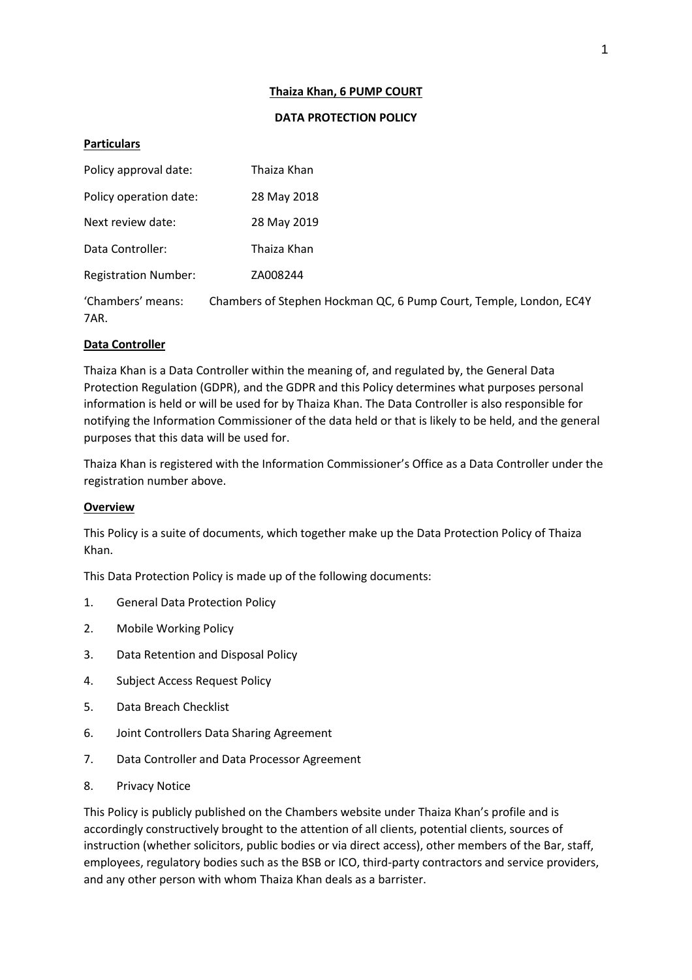### **Thaiza Khan, 6 PUMP COURT**

### **DATA PROTECTION POLICY**

# **Particulars**

| Policy approval date:       | Thaiza Khan                                                        |
|-----------------------------|--------------------------------------------------------------------|
| Policy operation date:      | 28 May 2018                                                        |
| Next review date:           | 28 May 2019                                                        |
| Data Controller:            | Thaiza Khan                                                        |
| <b>Registration Number:</b> | ZA008244                                                           |
| 'Chambers' means:<br>7AR.   | Chambers of Stephen Hockman QC, 6 Pump Court, Temple, London, EC4Y |

# **Data Controller**

Thaiza Khan is a Data Controller within the meaning of, and regulated by, the General Data Protection Regulation (GDPR), and the GDPR and this Policy determines what purposes personal information is held or will be used for by Thaiza Khan. The Data Controller is also responsible for notifying the Information Commissioner of the data held or that is likely to be held, and the general purposes that this data will be used for.

Thaiza Khan is registered with the Information Commissioner's Office as a Data Controller under the registration number above.

### **Overview**

This Policy is a suite of documents, which together make up the Data Protection Policy of Thaiza Khan.

This Data Protection Policy is made up of the following documents:

- 1. General Data Protection Policy
- 2. Mobile Working Policy
- 3. Data Retention and Disposal Policy
- 4. Subject Access Request Policy
- 5. Data Breach Checklist
- 6. Joint Controllers Data Sharing Agreement
- 7. Data Controller and Data Processor Agreement
- 8. Privacy Notice

This Policy is publicly published on the Chambers website under Thaiza Khan's profile and is accordingly constructively brought to the attention of all clients, potential clients, sources of instruction (whether solicitors, public bodies or via direct access), other members of the Bar, staff, employees, regulatory bodies such as the BSB or ICO, third-party contractors and service providers, and any other person with whom Thaiza Khan deals as a barrister.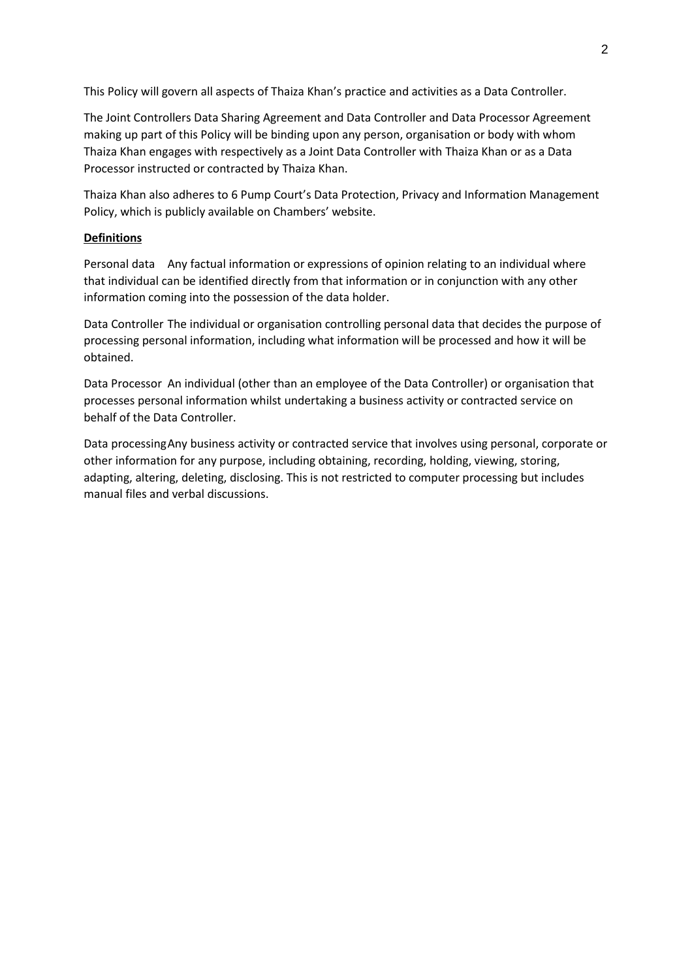This Policy will govern all aspects of Thaiza Khan's practice and activities as a Data Controller.

The Joint Controllers Data Sharing Agreement and Data Controller and Data Processor Agreement making up part of this Policy will be binding upon any person, organisation or body with whom Thaiza Khan engages with respectively as a Joint Data Controller with Thaiza Khan or as a Data Processor instructed or contracted by Thaiza Khan.

Thaiza Khan also adheres to 6 Pump Court's Data Protection, Privacy and Information Management Policy, which is publicly available on Chambers' website.

### **Definitions**

Personal data Any factual information or expressions of opinion relating to an individual where that individual can be identified directly from that information or in conjunction with any other information coming into the possession of the data holder.

Data Controller The individual or organisation controlling personal data that decides the purpose of processing personal information, including what information will be processed and how it will be obtained.

Data Processor An individual (other than an employee of the Data Controller) or organisation that processes personal information whilst undertaking a business activity or contracted service on behalf of the Data Controller.

Data processingAny business activity or contracted service that involves using personal, corporate or other information for any purpose, including obtaining, recording, holding, viewing, storing, adapting, altering, deleting, disclosing. This is not restricted to computer processing but includes manual files and verbal discussions.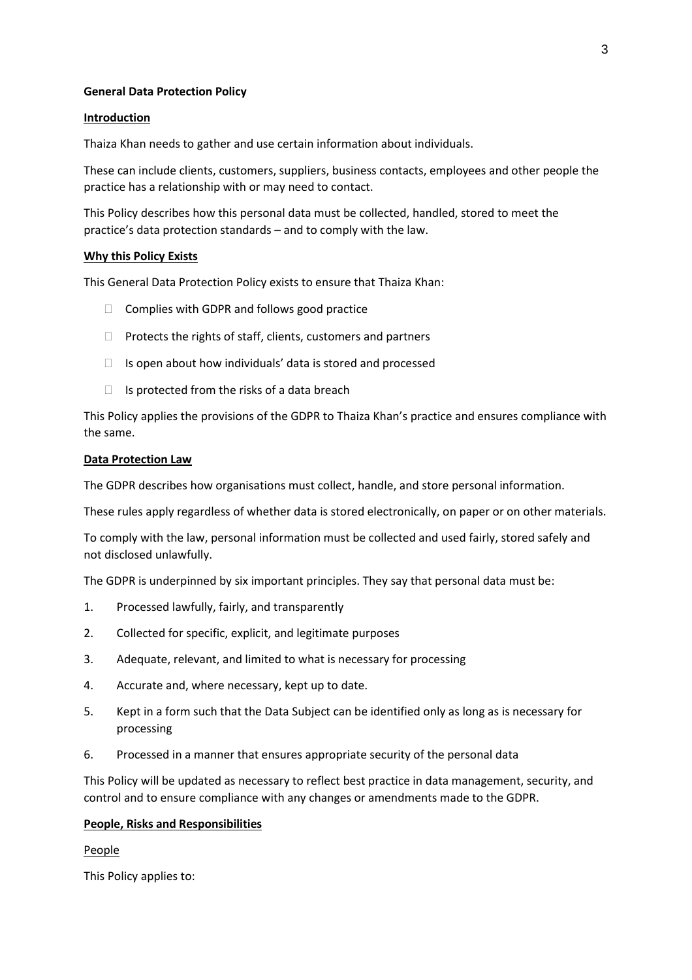### **General Data Protection Policy**

#### **Introduction**

Thaiza Khan needs to gather and use certain information about individuals.

These can include clients, customers, suppliers, business contacts, employees and other people the practice has a relationship with or may need to contact.

This Policy describes how this personal data must be collected, handled, stored to meet the practice's data protection standards – and to comply with the law.

#### **Why this Policy Exists**

This General Data Protection Policy exists to ensure that Thaiza Khan:

- $\Box$  Complies with GDPR and follows good practice
- $\Box$  Protects the rights of staff, clients, customers and partners
- $\Box$  Is open about how individuals' data is stored and processed
- $\Box$  Is protected from the risks of a data breach

This Policy applies the provisions of the GDPR to Thaiza Khan's practice and ensures compliance with the same.

#### **Data Protection Law**

The GDPR describes how organisations must collect, handle, and store personal information.

These rules apply regardless of whether data is stored electronically, on paper or on other materials.

To comply with the law, personal information must be collected and used fairly, stored safely and not disclosed unlawfully.

The GDPR is underpinned by six important principles. They say that personal data must be:

- 1. Processed lawfully, fairly, and transparently
- 2. Collected for specific, explicit, and legitimate purposes
- 3. Adequate, relevant, and limited to what is necessary for processing
- 4. Accurate and, where necessary, kept up to date.
- 5. Kept in a form such that the Data Subject can be identified only as long as is necessary for processing
- 6. Processed in a manner that ensures appropriate security of the personal data

This Policy will be updated as necessary to reflect best practice in data management, security, and control and to ensure compliance with any changes or amendments made to the GDPR.

### **People, Risks and Responsibilities**

People

This Policy applies to: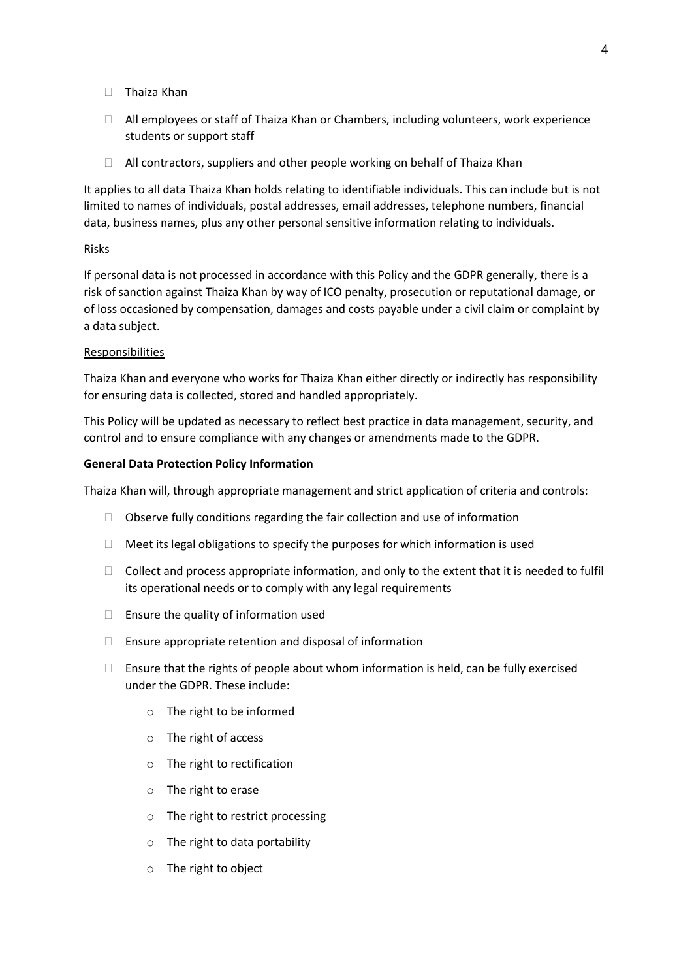- □ Thaiza Khan
- $\Box$  All employees or staff of Thaiza Khan or Chambers, including volunteers, work experience students or support staff
- $\Box$  All contractors, suppliers and other people working on behalf of Thaiza Khan

It applies to all data Thaiza Khan holds relating to identifiable individuals. This can include but is not limited to names of individuals, postal addresses, email addresses, telephone numbers, financial data, business names, plus any other personal sensitive information relating to individuals.

### Risks

If personal data is not processed in accordance with this Policy and the GDPR generally, there is a risk of sanction against Thaiza Khan by way of ICO penalty, prosecution or reputational damage, or of loss occasioned by compensation, damages and costs payable under a civil claim or complaint by a data subject.

### Responsibilities

Thaiza Khan and everyone who works for Thaiza Khan either directly or indirectly has responsibility for ensuring data is collected, stored and handled appropriately.

This Policy will be updated as necessary to reflect best practice in data management, security, and control and to ensure compliance with any changes or amendments made to the GDPR.

### **General Data Protection Policy Information**

Thaiza Khan will, through appropriate management and strict application of criteria and controls:

- $\Box$  Observe fully conditions regarding the fair collection and use of information
- $\Box$  Meet its legal obligations to specify the purposes for which information is used
- $\Box$  Collect and process appropriate information, and only to the extent that it is needed to fulfil its operational needs or to comply with any legal requirements
- $\Box$  Ensure the quality of information used
- $\Box$  Ensure appropriate retention and disposal of information
- $\Box$  Ensure that the rights of people about whom information is held, can be fully exercised under the GDPR. These include:
	- o The right to be informed
	- o The right of access
	- o The right to rectification
	- o The right to erase
	- o The right to restrict processing
	- $\circ$  The right to data portability
	- o The right to object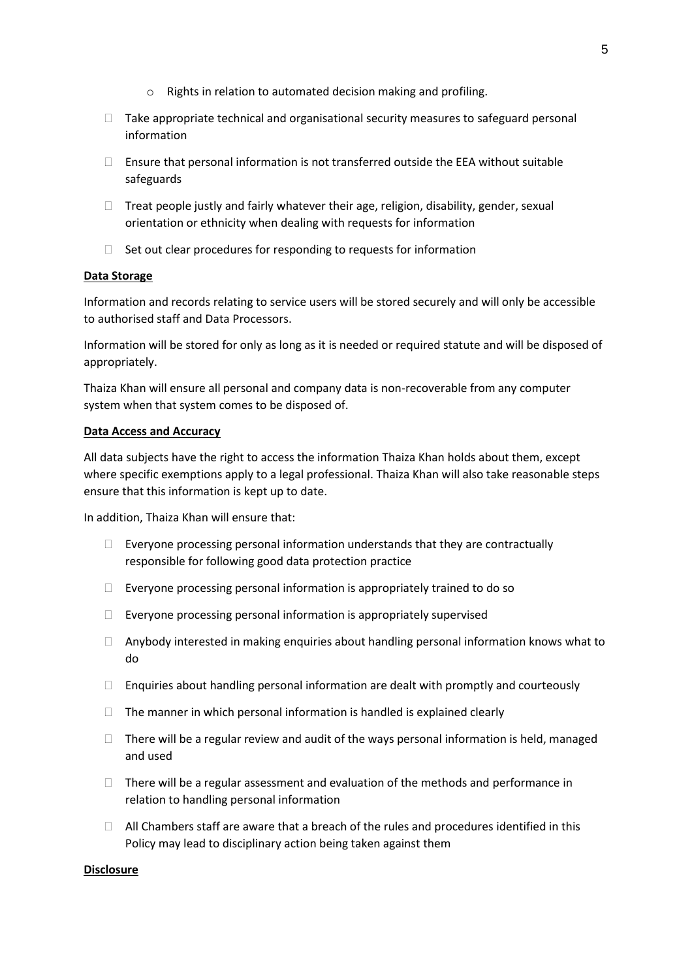- o Rights in relation to automated decision making and profiling.
- $\Box$  Take appropriate technical and organisational security measures to safeguard personal information
- $\Box$  Ensure that personal information is not transferred outside the EEA without suitable safeguards
- $\Box$  Treat people justly and fairly whatever their age, religion, disability, gender, sexual orientation or ethnicity when dealing with requests for information
- $\Box$  Set out clear procedures for responding to requests for information

#### **Data Storage**

Information and records relating to service users will be stored securely and will only be accessible to authorised staff and Data Processors.

Information will be stored for only as long as it is needed or required statute and will be disposed of appropriately.

Thaiza Khan will ensure all personal and company data is non-recoverable from any computer system when that system comes to be disposed of.

#### **Data Access and Accuracy**

All data subjects have the right to access the information Thaiza Khan holds about them, except where specific exemptions apply to a legal professional. Thaiza Khan will also take reasonable steps ensure that this information is kept up to date.

In addition, Thaiza Khan will ensure that:

- $\Box$  Everyone processing personal information understands that they are contractually responsible for following good data protection practice
- $\Box$  Everyone processing personal information is appropriately trained to do so
- $\Box$  Everyone processing personal information is appropriately supervised
- $\Box$  Anybody interested in making enquiries about handling personal information knows what to do
- $\Box$  Enquiries about handling personal information are dealt with promptly and courteously
- $\Box$  The manner in which personal information is handled is explained clearly
- $\Box$  There will be a regular review and audit of the ways personal information is held, managed and used
- $\Box$  There will be a regular assessment and evaluation of the methods and performance in relation to handling personal information
- $\Box$  All Chambers staff are aware that a breach of the rules and procedures identified in this Policy may lead to disciplinary action being taken against them

#### **Disclosure**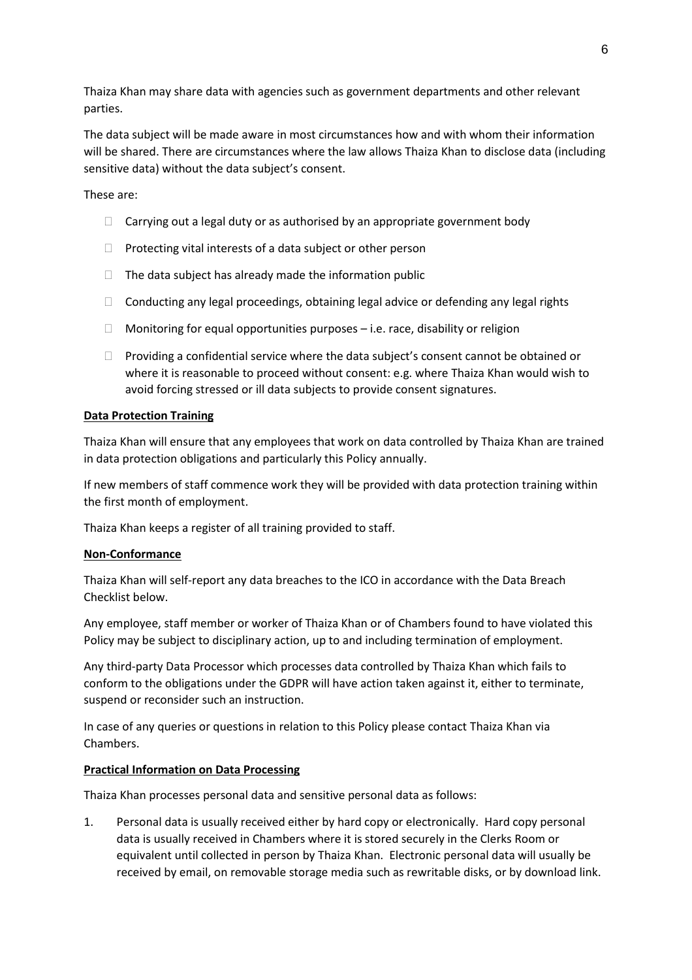Thaiza Khan may share data with agencies such as government departments and other relevant parties.

The data subject will be made aware in most circumstances how and with whom their information will be shared. There are circumstances where the law allows Thaiza Khan to disclose data (including sensitive data) without the data subject's consent.

These are:

- $\Box$  Carrying out a legal duty or as authorised by an appropriate government body
- $\Box$  Protecting vital interests of a data subject or other person
- $\Box$  The data subject has already made the information public
- $\Box$  Conducting any legal proceedings, obtaining legal advice or defending any legal rights
- $\Box$  Monitoring for equal opportunities purposes i.e. race, disability or religion
- $\Box$  Providing a confidential service where the data subject's consent cannot be obtained or where it is reasonable to proceed without consent: e.g. where Thaiza Khan would wish to avoid forcing stressed or ill data subjects to provide consent signatures.

### **Data Protection Training**

Thaiza Khan will ensure that any employees that work on data controlled by Thaiza Khan are trained in data protection obligations and particularly this Policy annually.

If new members of staff commence work they will be provided with data protection training within the first month of employment.

Thaiza Khan keeps a register of all training provided to staff.

### **Non-Conformance**

Thaiza Khan will self-report any data breaches to the ICO in accordance with the Data Breach Checklist below.

Any employee, staff member or worker of Thaiza Khan or of Chambers found to have violated this Policy may be subject to disciplinary action, up to and including termination of employment.

Any third-party Data Processor which processes data controlled by Thaiza Khan which fails to conform to the obligations under the GDPR will have action taken against it, either to terminate, suspend or reconsider such an instruction.

In case of any queries or questions in relation to this Policy please contact Thaiza Khan via Chambers.

### **Practical Information on Data Processing**

Thaiza Khan processes personal data and sensitive personal data as follows:

1. Personal data is usually received either by hard copy or electronically. Hard copy personal data is usually received in Chambers where it is stored securely in the Clerks Room or equivalent until collected in person by Thaiza Khan. Electronic personal data will usually be received by email, on removable storage media such as rewritable disks, or by download link.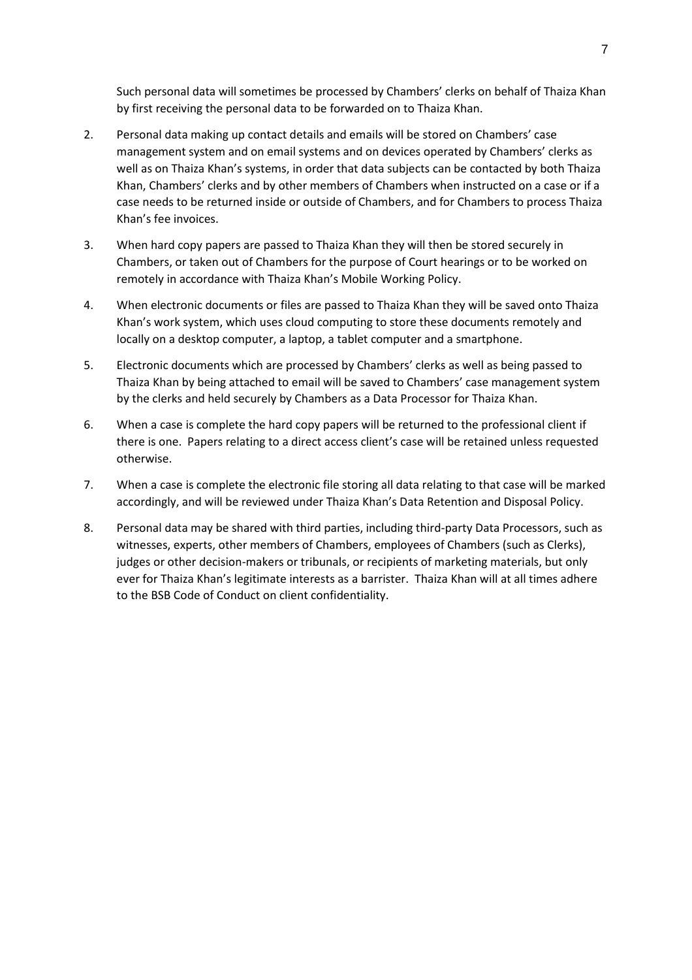Such personal data will sometimes be processed by Chambers' clerks on behalf of Thaiza Khan by first receiving the personal data to be forwarded on to Thaiza Khan.

- 2. Personal data making up contact details and emails will be stored on Chambers' case management system and on email systems and on devices operated by Chambers' clerks as well as on Thaiza Khan's systems, in order that data subjects can be contacted by both Thaiza Khan, Chambers' clerks and by other members of Chambers when instructed on a case or if a case needs to be returned inside or outside of Chambers, and for Chambers to process Thaiza Khan's fee invoices.
- 3. When hard copy papers are passed to Thaiza Khan they will then be stored securely in Chambers, or taken out of Chambers for the purpose of Court hearings or to be worked on remotely in accordance with Thaiza Khan's Mobile Working Policy.
- 4. When electronic documents or files are passed to Thaiza Khan they will be saved onto Thaiza Khan's work system, which uses cloud computing to store these documents remotely and locally on a desktop computer, a laptop, a tablet computer and a smartphone.
- 5. Electronic documents which are processed by Chambers' clerks as well as being passed to Thaiza Khan by being attached to email will be saved to Chambers' case management system by the clerks and held securely by Chambers as a Data Processor for Thaiza Khan.
- 6. When a case is complete the hard copy papers will be returned to the professional client if there is one. Papers relating to a direct access client's case will be retained unless requested otherwise.
- 7. When a case is complete the electronic file storing all data relating to that case will be marked accordingly, and will be reviewed under Thaiza Khan's Data Retention and Disposal Policy.
- 8. Personal data may be shared with third parties, including third-party Data Processors, such as witnesses, experts, other members of Chambers, employees of Chambers (such as Clerks), judges or other decision-makers or tribunals, or recipients of marketing materials, but only ever for Thaiza Khan's legitimate interests as a barrister. Thaiza Khan will at all times adhere to the BSB Code of Conduct on client confidentiality.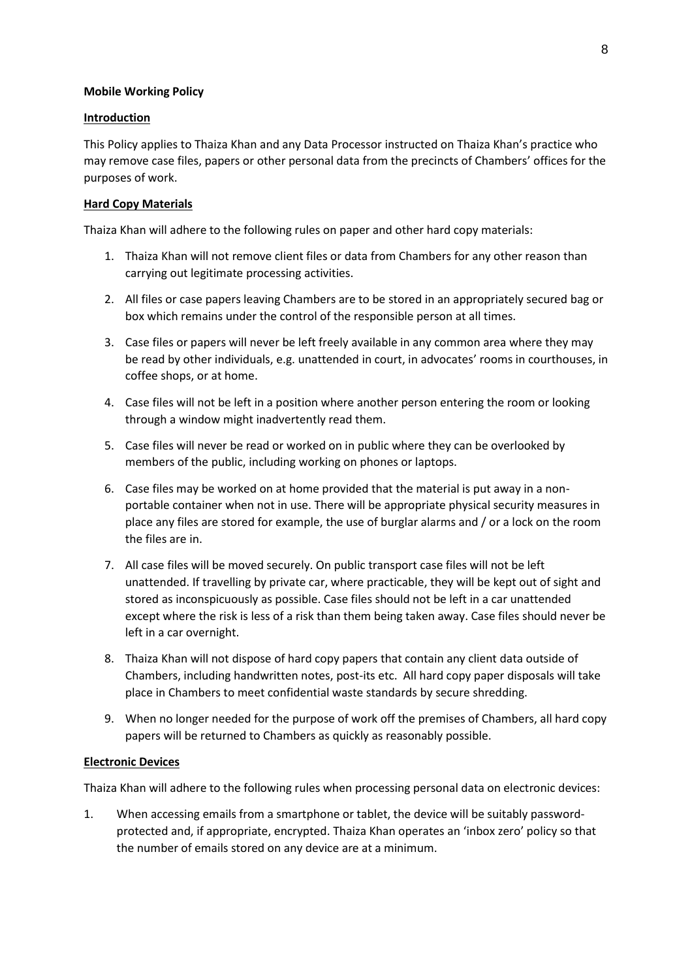### **Mobile Working Policy**

## **Introduction**

This Policy applies to Thaiza Khan and any Data Processor instructed on Thaiza Khan's practice who may remove case files, papers or other personal data from the precincts of Chambers' offices for the purposes of work.

# **Hard Copy Materials**

Thaiza Khan will adhere to the following rules on paper and other hard copy materials:

- 1. Thaiza Khan will not remove client files or data from Chambers for any other reason than carrying out legitimate processing activities.
- 2. All files or case papers leaving Chambers are to be stored in an appropriately secured bag or box which remains under the control of the responsible person at all times.
- 3. Case files or papers will never be left freely available in any common area where they may be read by other individuals, e.g. unattended in court, in advocates' rooms in courthouses, in coffee shops, or at home.
- 4. Case files will not be left in a position where another person entering the room or looking through a window might inadvertently read them.
- 5. Case files will never be read or worked on in public where they can be overlooked by members of the public, including working on phones or laptops.
- 6. Case files may be worked on at home provided that the material is put away in a nonportable container when not in use. There will be appropriate physical security measures in place any files are stored for example, the use of burglar alarms and / or a lock on the room the files are in.
- 7. All case files will be moved securely. On public transport case files will not be left unattended. If travelling by private car, where practicable, they will be kept out of sight and stored as inconspicuously as possible. Case files should not be left in a car unattended except where the risk is less of a risk than them being taken away. Case files should never be left in a car overnight.
- 8. Thaiza Khan will not dispose of hard copy papers that contain any client data outside of Chambers, including handwritten notes, post-its etc. All hard copy paper disposals will take place in Chambers to meet confidential waste standards by secure shredding.
- 9. When no longer needed for the purpose of work off the premises of Chambers, all hard copy papers will be returned to Chambers as quickly as reasonably possible.

# **Electronic Devices**

Thaiza Khan will adhere to the following rules when processing personal data on electronic devices:

1. When accessing emails from a smartphone or tablet, the device will be suitably passwordprotected and, if appropriate, encrypted. Thaiza Khan operates an 'inbox zero' policy so that the number of emails stored on any device are at a minimum.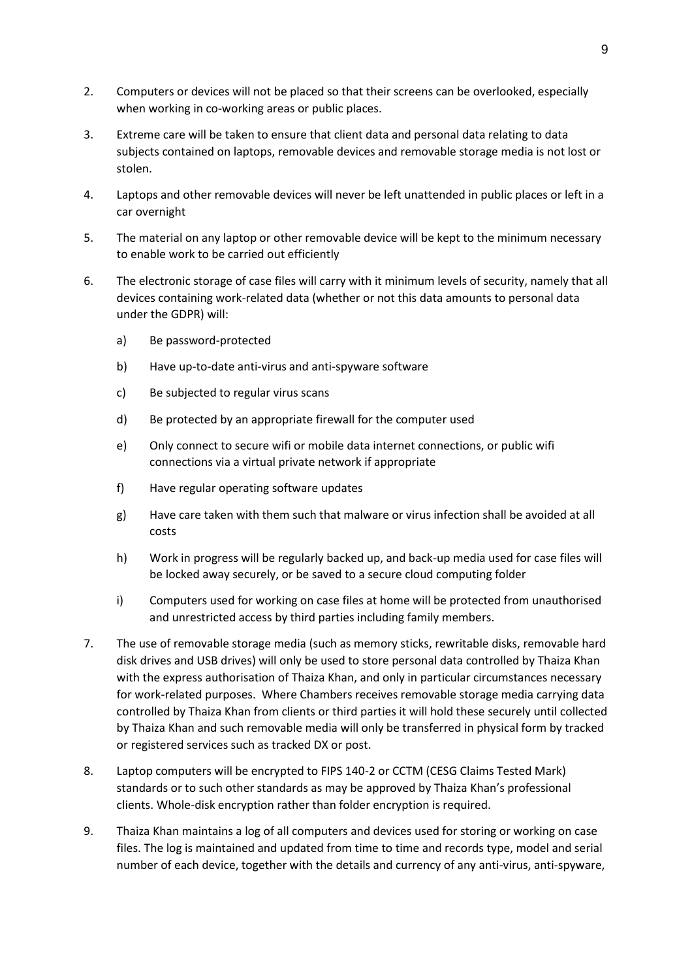- 2. Computers or devices will not be placed so that their screens can be overlooked, especially when working in co-working areas or public places.
- 3. Extreme care will be taken to ensure that client data and personal data relating to data subjects contained on laptops, removable devices and removable storage media is not lost or stolen.
- 4. Laptops and other removable devices will never be left unattended in public places or left in a car overnight
- 5. The material on any laptop or other removable device will be kept to the minimum necessary to enable work to be carried out efficiently
- 6. The electronic storage of case files will carry with it minimum levels of security, namely that all devices containing work-related data (whether or not this data amounts to personal data under the GDPR) will:
	- a) Be password-protected
	- b) Have up-to-date anti-virus and anti-spyware software
	- c) Be subjected to regular virus scans
	- d) Be protected by an appropriate firewall for the computer used
	- e) Only connect to secure wifi or mobile data internet connections, or public wifi connections via a virtual private network if appropriate
	- f) Have regular operating software updates
	- g) Have care taken with them such that malware or virus infection shall be avoided at all costs
	- h) Work in progress will be regularly backed up, and back-up media used for case files will be locked away securely, or be saved to a secure cloud computing folder
	- i) Computers used for working on case files at home will be protected from unauthorised and unrestricted access by third parties including family members.
- 7. The use of removable storage media (such as memory sticks, rewritable disks, removable hard disk drives and USB drives) will only be used to store personal data controlled by Thaiza Khan with the express authorisation of Thaiza Khan, and only in particular circumstances necessary for work-related purposes. Where Chambers receives removable storage media carrying data controlled by Thaiza Khan from clients or third parties it will hold these securely until collected by Thaiza Khan and such removable media will only be transferred in physical form by tracked or registered services such as tracked DX or post.
- 8. Laptop computers will be encrypted to FIPS 140-2 or CCTM (CESG Claims Tested Mark) standards or to such other standards as may be approved by Thaiza Khan's professional clients. Whole-disk encryption rather than folder encryption is required.
- 9. Thaiza Khan maintains a log of all computers and devices used for storing or working on case files. The log is maintained and updated from time to time and records type, model and serial number of each device, together with the details and currency of any anti-virus, anti-spyware,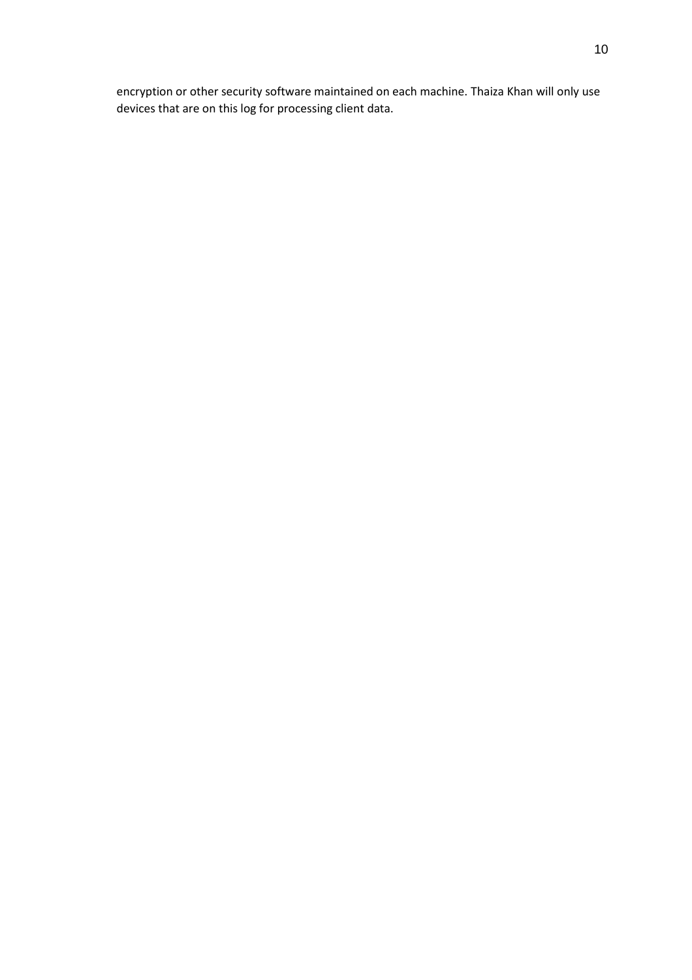encryption or other security software maintained on each machine. Thaiza Khan will only use devices that are on this log for processing client data.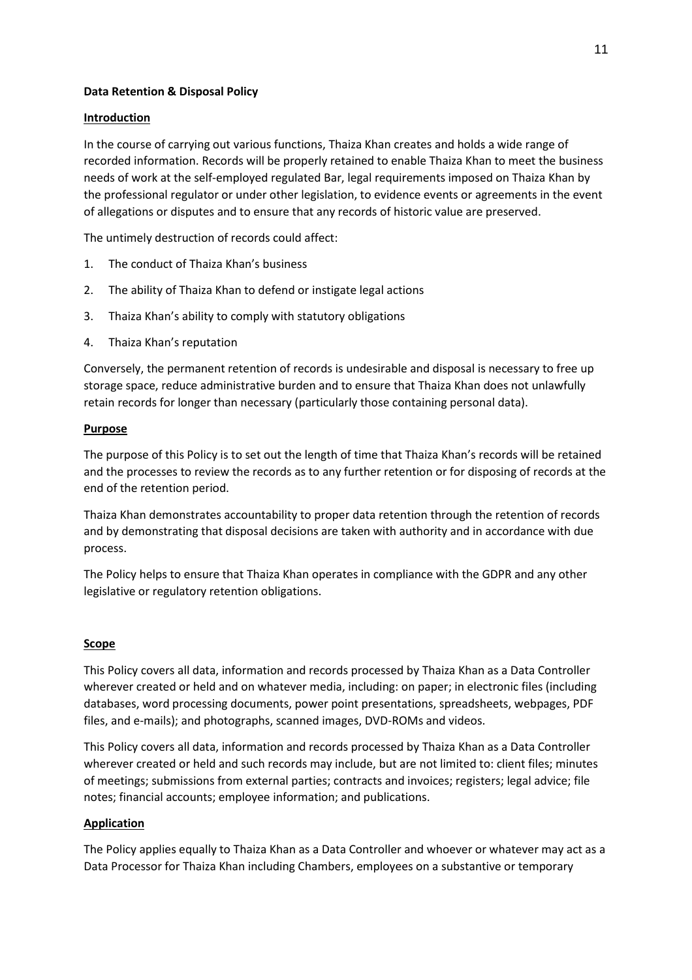# **Data Retention & Disposal Policy**

### **Introduction**

In the course of carrying out various functions, Thaiza Khan creates and holds a wide range of recorded information. Records will be properly retained to enable Thaiza Khan to meet the business needs of work at the self-employed regulated Bar, legal requirements imposed on Thaiza Khan by the professional regulator or under other legislation, to evidence events or agreements in the event of allegations or disputes and to ensure that any records of historic value are preserved.

The untimely destruction of records could affect:

- 1. The conduct of Thaiza Khan's business
- 2. The ability of Thaiza Khan to defend or instigate legal actions
- 3. Thaiza Khan's ability to comply with statutory obligations
- 4. Thaiza Khan's reputation

Conversely, the permanent retention of records is undesirable and disposal is necessary to free up storage space, reduce administrative burden and to ensure that Thaiza Khan does not unlawfully retain records for longer than necessary (particularly those containing personal data).

#### **Purpose**

The purpose of this Policy is to set out the length of time that Thaiza Khan's records will be retained and the processes to review the records as to any further retention or for disposing of records at the end of the retention period.

Thaiza Khan demonstrates accountability to proper data retention through the retention of records and by demonstrating that disposal decisions are taken with authority and in accordance with due process.

The Policy helps to ensure that Thaiza Khan operates in compliance with the GDPR and any other legislative or regulatory retention obligations.

### **Scope**

This Policy covers all data, information and records processed by Thaiza Khan as a Data Controller wherever created or held and on whatever media, including: on paper; in electronic files (including databases, word processing documents, power point presentations, spreadsheets, webpages, PDF files, and e-mails); and photographs, scanned images, DVD-ROMs and videos.

This Policy covers all data, information and records processed by Thaiza Khan as a Data Controller wherever created or held and such records may include, but are not limited to: client files; minutes of meetings; submissions from external parties; contracts and invoices; registers; legal advice; file notes; financial accounts; employee information; and publications.

### **Application**

The Policy applies equally to Thaiza Khan as a Data Controller and whoever or whatever may act as a Data Processor for Thaiza Khan including Chambers, employees on a substantive or temporary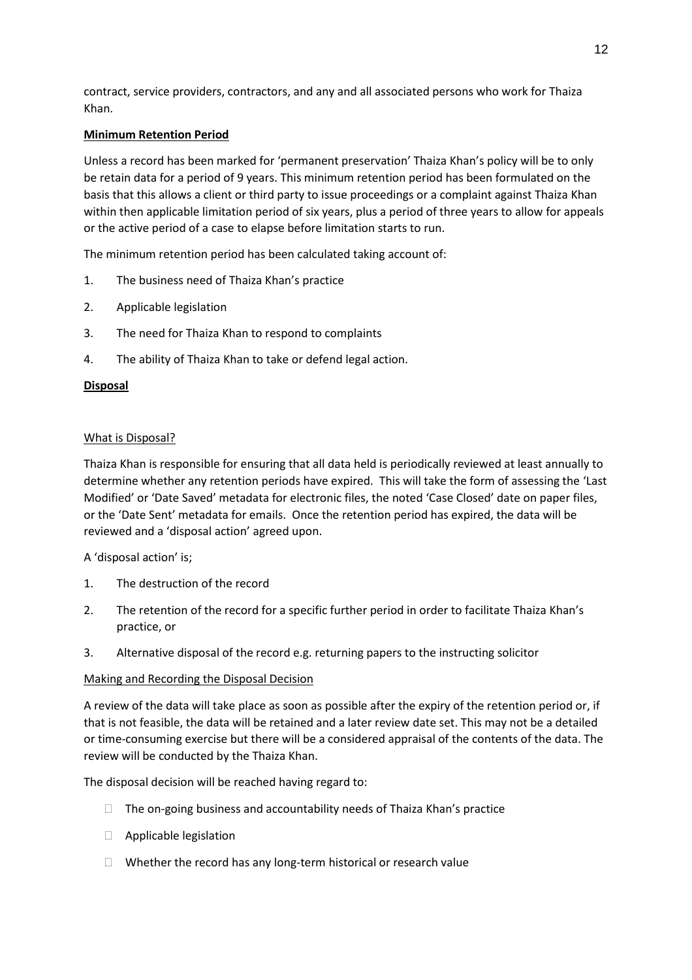contract, service providers, contractors, and any and all associated persons who work for Thaiza Khan.

# **Minimum Retention Period**

Unless a record has been marked for 'permanent preservation' Thaiza Khan's policy will be to only be retain data for a period of 9 years. This minimum retention period has been formulated on the basis that this allows a client or third party to issue proceedings or a complaint against Thaiza Khan within then applicable limitation period of six years, plus a period of three years to allow for appeals or the active period of a case to elapse before limitation starts to run.

The minimum retention period has been calculated taking account of:

- 1. The business need of Thaiza Khan's practice
- 2. Applicable legislation
- 3. The need for Thaiza Khan to respond to complaints
- 4. The ability of Thaiza Khan to take or defend legal action.

# **Disposal**

### What is Disposal?

Thaiza Khan is responsible for ensuring that all data held is periodically reviewed at least annually to determine whether any retention periods have expired. This will take the form of assessing the 'Last Modified' or 'Date Saved' metadata for electronic files, the noted 'Case Closed' date on paper files, or the 'Date Sent' metadata for emails. Once the retention period has expired, the data will be reviewed and a 'disposal action' agreed upon.

A 'disposal action' is;

- 1. The destruction of the record
- 2. The retention of the record for a specific further period in order to facilitate Thaiza Khan's practice, or
- 3. Alternative disposal of the record e.g. returning papers to the instructing solicitor

### Making and Recording the Disposal Decision

A review of the data will take place as soon as possible after the expiry of the retention period or, if that is not feasible, the data will be retained and a later review date set. This may not be a detailed or time-consuming exercise but there will be a considered appraisal of the contents of the data. The review will be conducted by the Thaiza Khan.

The disposal decision will be reached having regard to:

- $\Box$  The on-going business and accountability needs of Thaiza Khan's practice
- □ Applicable legislation
- $\Box$  Whether the record has any long-term historical or research value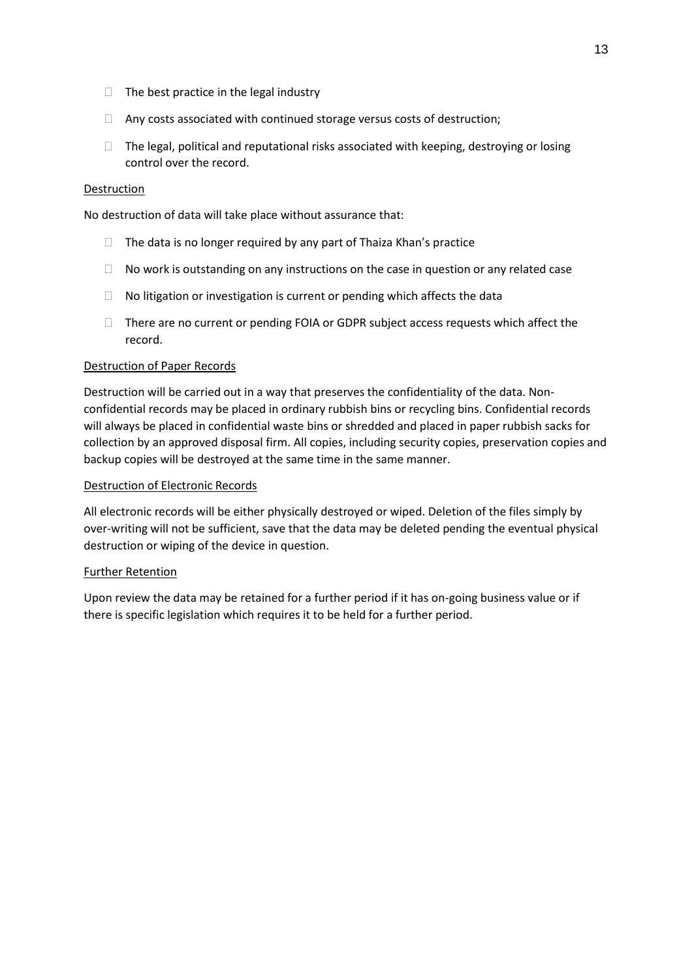- $\Box$  The best practice in the legal industry
- Any costs associated with continued storage versus costs of destruction;
- $\Box$  The legal, political and reputational risks associated with keeping, destroying or losing control over the record.

### Destruction

No destruction of data will take place without assurance that:

- $\Box$  The data is no longer required by any part of Thaiza Khan's practice
- $\Box$  No work is outstanding on any instructions on the case in question or any related case
- $\Box$  No litigation or investigation is current or pending which affects the data
- $\Box$  There are no current or pending FOIA or GDPR subject access requests which affect the record.

#### Destruction of Paper Records

Destruction will be carried out in a way that preserves the confidentiality of the data. Nonconfidential records may be placed in ordinary rubbish bins or recycling bins. Confidential records will always be placed in confidential waste bins or shredded and placed in paper rubbish sacks for collection by an approved disposal firm. All copies, including security copies, preservation copies and backup copies will be destroyed at the same time in the same manner.

### Destruction of Electronic Records

All electronic records will be either physically destroyed or wiped. Deletion of the files simply by over-writing will not be sufficient, save that the data may be deleted pending the eventual physical destruction or wiping of the device in question.

#### Further Retention

Upon review the data may be retained for a further period if it has on-going business value or if there is specific legislation which requires it to be held for a further period.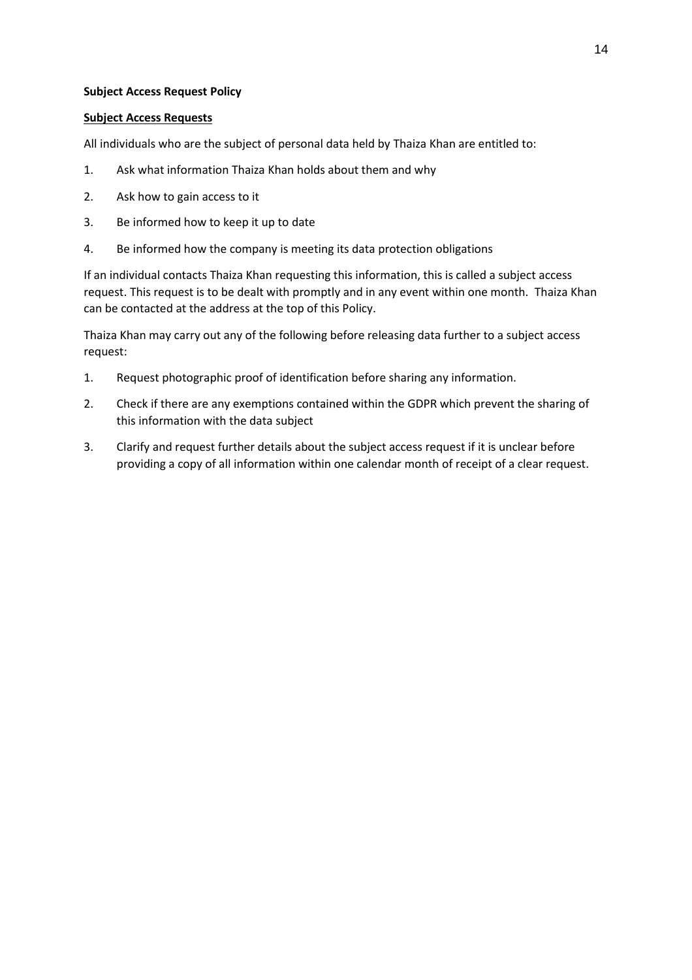## **Subject Access Request Policy**

## **Subject Access Requests**

All individuals who are the subject of personal data held by Thaiza Khan are entitled to:

- 1. Ask what information Thaiza Khan holds about them and why
- 2. Ask how to gain access to it
- 3. Be informed how to keep it up to date
- 4. Be informed how the company is meeting its data protection obligations

If an individual contacts Thaiza Khan requesting this information, this is called a subject access request. This request is to be dealt with promptly and in any event within one month. Thaiza Khan can be contacted at the address at the top of this Policy.

Thaiza Khan may carry out any of the following before releasing data further to a subject access request:

- 1. Request photographic proof of identification before sharing any information.
- 2. Check if there are any exemptions contained within the GDPR which prevent the sharing of this information with the data subject
- 3. Clarify and request further details about the subject access request if it is unclear before providing a copy of all information within one calendar month of receipt of a clear request.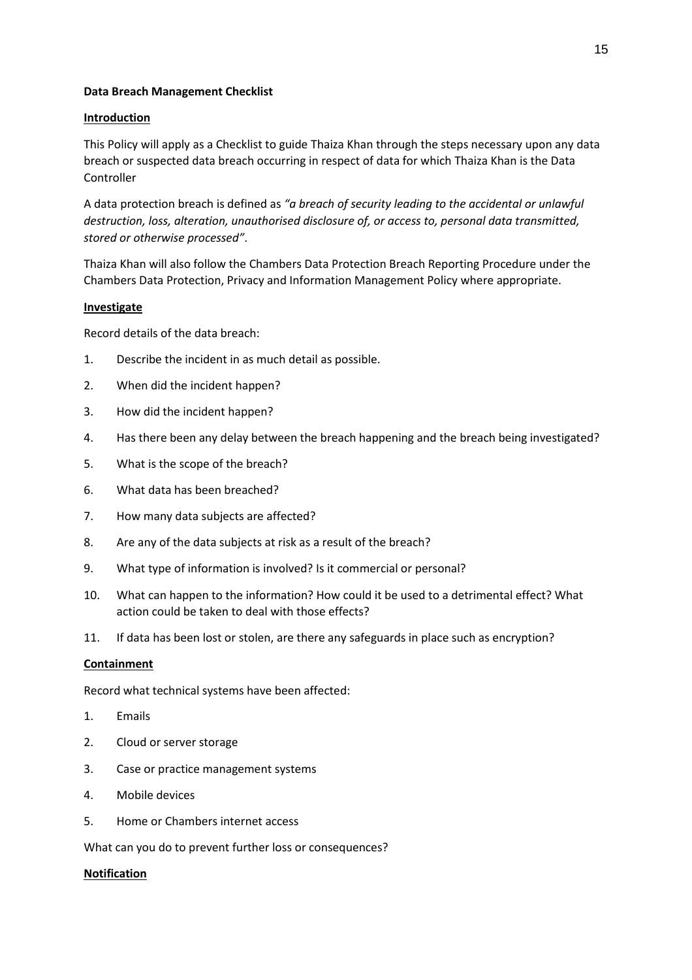### **Data Breach Management Checklist**

## **Introduction**

This Policy will apply as a Checklist to guide Thaiza Khan through the steps necessary upon any data breach or suspected data breach occurring in respect of data for which Thaiza Khan is the Data Controller

A data protection breach is defined as *"a breach of security leading to the accidental or unlawful destruction, loss, alteration, unauthorised disclosure of, or access to, personal data transmitted, stored or otherwise processed"*.

Thaiza Khan will also follow the Chambers Data Protection Breach Reporting Procedure under the Chambers Data Protection, Privacy and Information Management Policy where appropriate.

### **Investigate**

Record details of the data breach:

- 1. Describe the incident in as much detail as possible.
- 2. When did the incident happen?
- 3. How did the incident happen?
- 4. Has there been any delay between the breach happening and the breach being investigated?
- 5. What is the scope of the breach?
- 6. What data has been breached?
- 7. How many data subjects are affected?
- 8. Are any of the data subjects at risk as a result of the breach?
- 9. What type of information is involved? Is it commercial or personal?
- 10. What can happen to the information? How could it be used to a detrimental effect? What action could be taken to deal with those effects?
- 11. If data has been lost or stolen, are there any safeguards in place such as encryption?

# **Containment**

Record what technical systems have been affected:

- 1. Emails
- 2. Cloud or server storage
- 3. Case or practice management systems
- 4. Mobile devices
- 5. Home or Chambers internet access

What can you do to prevent further loss or consequences?

### **Notification**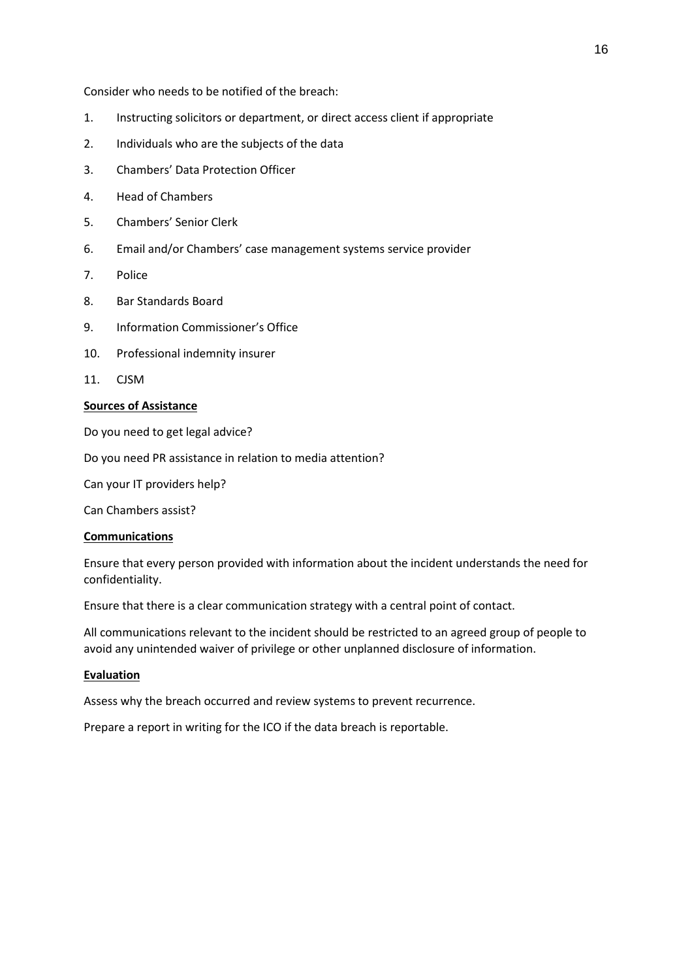Consider who needs to be notified of the breach:

- 1. Instructing solicitors or department, or direct access client if appropriate
- 2. Individuals who are the subjects of the data
- 3. Chambers' Data Protection Officer
- 4. Head of Chambers
- 5. Chambers' Senior Clerk
- 6. Email and/or Chambers' case management systems service provider
- 7. Police
- 8. Bar Standards Board
- 9. Information Commissioner's Office
- 10. Professional indemnity insurer
- 11. CJSM

## **Sources of Assistance**

Do you need to get legal advice?

Do you need PR assistance in relation to media attention?

Can your IT providers help?

Can Chambers assist?

#### **Communications**

Ensure that every person provided with information about the incident understands the need for confidentiality.

Ensure that there is a clear communication strategy with a central point of contact.

All communications relevant to the incident should be restricted to an agreed group of people to avoid any unintended waiver of privilege or other unplanned disclosure of information.

#### **Evaluation**

Assess why the breach occurred and review systems to prevent recurrence.

Prepare a report in writing for the ICO if the data breach is reportable.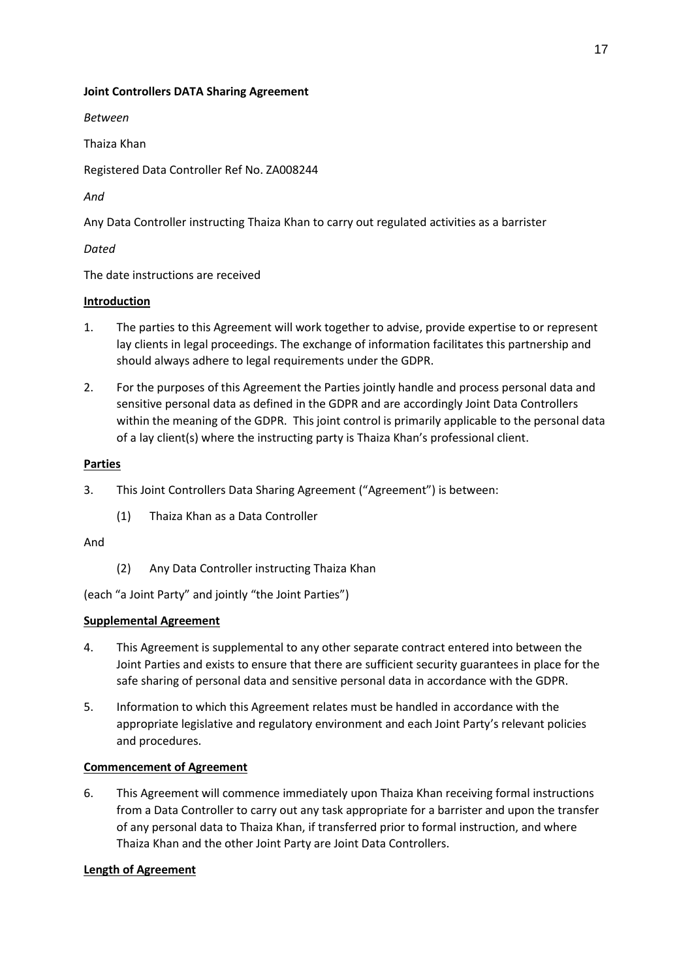# **Joint Controllers DATA Sharing Agreement**

*Between*

Thaiza Khan

Registered Data Controller Ref No. ZA008244

*And*

Any Data Controller instructing Thaiza Khan to carry out regulated activities as a barrister

*Dated*

The date instructions are received

# **Introduction**

- 1. The parties to this Agreement will work together to advise, provide expertise to or represent lay clients in legal proceedings. The exchange of information facilitates this partnership and should always adhere to legal requirements under the GDPR.
- 2. For the purposes of this Agreement the Parties jointly handle and process personal data and sensitive personal data as defined in the GDPR and are accordingly Joint Data Controllers within the meaning of the GDPR. This joint control is primarily applicable to the personal data of a lay client(s) where the instructing party is Thaiza Khan's professional client.

# **Parties**

- 3. This Joint Controllers Data Sharing Agreement ("Agreement") is between:
	- (1) Thaiza Khan as a Data Controller

### And

(2) Any Data Controller instructing Thaiza Khan

(each "a Joint Party" and jointly "the Joint Parties")

# **Supplemental Agreement**

- 4. This Agreement is supplemental to any other separate contract entered into between the Joint Parties and exists to ensure that there are sufficient security guarantees in place for the safe sharing of personal data and sensitive personal data in accordance with the GDPR.
- 5. Information to which this Agreement relates must be handled in accordance with the appropriate legislative and regulatory environment and each Joint Party's relevant policies and procedures.

# **Commencement of Agreement**

6. This Agreement will commence immediately upon Thaiza Khan receiving formal instructions from a Data Controller to carry out any task appropriate for a barrister and upon the transfer of any personal data to Thaiza Khan, if transferred prior to formal instruction, and where Thaiza Khan and the other Joint Party are Joint Data Controllers.

# **Length of Agreement**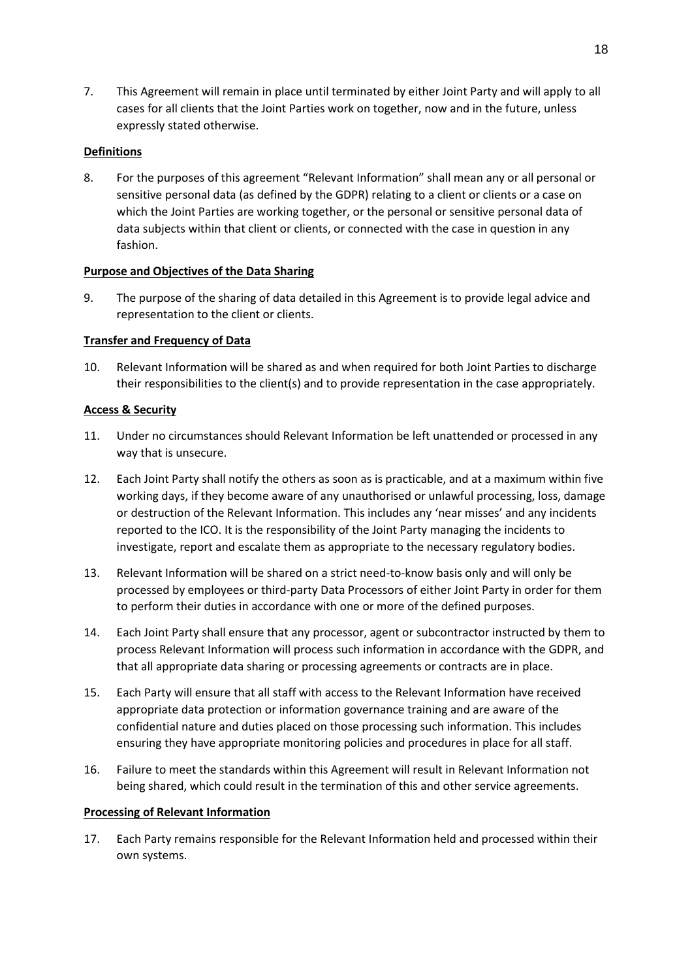7. This Agreement will remain in place until terminated by either Joint Party and will apply to all cases for all clients that the Joint Parties work on together, now and in the future, unless expressly stated otherwise.

# **Definitions**

8. For the purposes of this agreement "Relevant Information" shall mean any or all personal or sensitive personal data (as defined by the GDPR) relating to a client or clients or a case on which the Joint Parties are working together, or the personal or sensitive personal data of data subjects within that client or clients, or connected with the case in question in any fashion.

### **Purpose and Objectives of the Data Sharing**

9. The purpose of the sharing of data detailed in this Agreement is to provide legal advice and representation to the client or clients.

# **Transfer and Frequency of Data**

10. Relevant Information will be shared as and when required for both Joint Parties to discharge their responsibilities to the client(s) and to provide representation in the case appropriately.

### **Access & Security**

- 11. Under no circumstances should Relevant Information be left unattended or processed in any way that is unsecure.
- 12. Each Joint Party shall notify the others as soon as is practicable, and at a maximum within five working days, if they become aware of any unauthorised or unlawful processing, loss, damage or destruction of the Relevant Information. This includes any 'near misses' and any incidents reported to the ICO. It is the responsibility of the Joint Party managing the incidents to investigate, report and escalate them as appropriate to the necessary regulatory bodies.
- 13. Relevant Information will be shared on a strict need-to-know basis only and will only be processed by employees or third-party Data Processors of either Joint Party in order for them to perform their duties in accordance with one or more of the defined purposes.
- 14. Each Joint Party shall ensure that any processor, agent or subcontractor instructed by them to process Relevant Information will process such information in accordance with the GDPR, and that all appropriate data sharing or processing agreements or contracts are in place.
- 15. Each Party will ensure that all staff with access to the Relevant Information have received appropriate data protection or information governance training and are aware of the confidential nature and duties placed on those processing such information. This includes ensuring they have appropriate monitoring policies and procedures in place for all staff.
- 16. Failure to meet the standards within this Agreement will result in Relevant Information not being shared, which could result in the termination of this and other service agreements.

### **Processing of Relevant Information**

17. Each Party remains responsible for the Relevant Information held and processed within their own systems.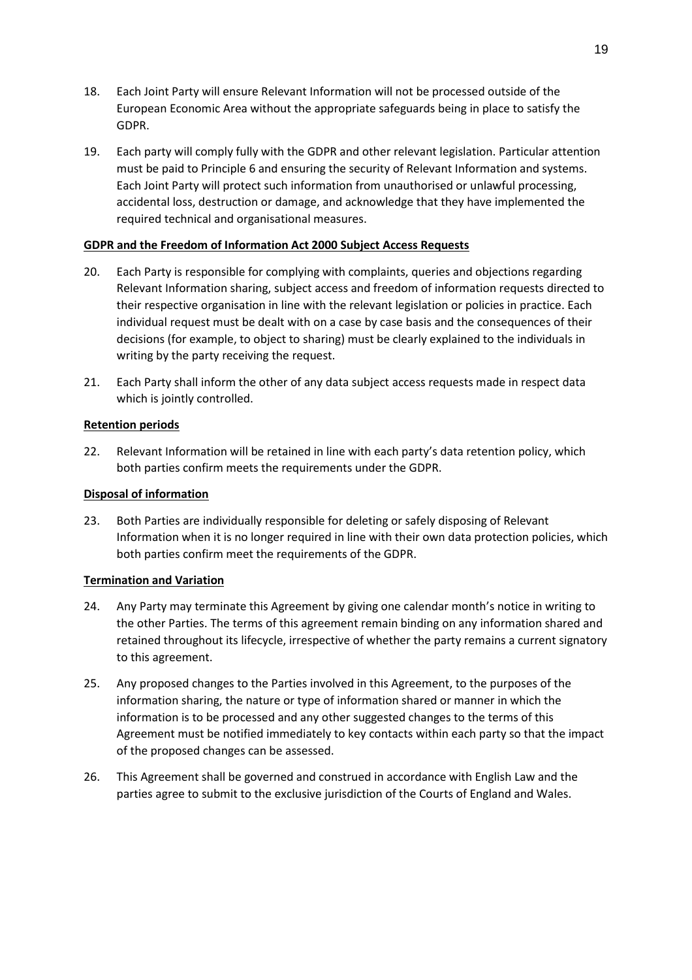- 18. Each Joint Party will ensure Relevant Information will not be processed outside of the European Economic Area without the appropriate safeguards being in place to satisfy the GDPR.
- 19. Each party will comply fully with the GDPR and other relevant legislation. Particular attention must be paid to Principle 6 and ensuring the security of Relevant Information and systems. Each Joint Party will protect such information from unauthorised or unlawful processing, accidental loss, destruction or damage, and acknowledge that they have implemented the required technical and organisational measures.

# **GDPR and the Freedom of Information Act 2000 Subject Access Requests**

- 20. Each Party is responsible for complying with complaints, queries and objections regarding Relevant Information sharing, subject access and freedom of information requests directed to their respective organisation in line with the relevant legislation or policies in practice. Each individual request must be dealt with on a case by case basis and the consequences of their decisions (for example, to object to sharing) must be clearly explained to the individuals in writing by the party receiving the request.
- 21. Each Party shall inform the other of any data subject access requests made in respect data which is jointly controlled.

# **Retention periods**

22. Relevant Information will be retained in line with each party's data retention policy, which both parties confirm meets the requirements under the GDPR.

## **Disposal of information**

23. Both Parties are individually responsible for deleting or safely disposing of Relevant Information when it is no longer required in line with their own data protection policies, which both parties confirm meet the requirements of the GDPR.

### **Termination and Variation**

- 24. Any Party may terminate this Agreement by giving one calendar month's notice in writing to the other Parties. The terms of this agreement remain binding on any information shared and retained throughout its lifecycle, irrespective of whether the party remains a current signatory to this agreement.
- 25. Any proposed changes to the Parties involved in this Agreement, to the purposes of the information sharing, the nature or type of information shared or manner in which the information is to be processed and any other suggested changes to the terms of this Agreement must be notified immediately to key contacts within each party so that the impact of the proposed changes can be assessed.
- 26. This Agreement shall be governed and construed in accordance with English Law and the parties agree to submit to the exclusive jurisdiction of the Courts of England and Wales.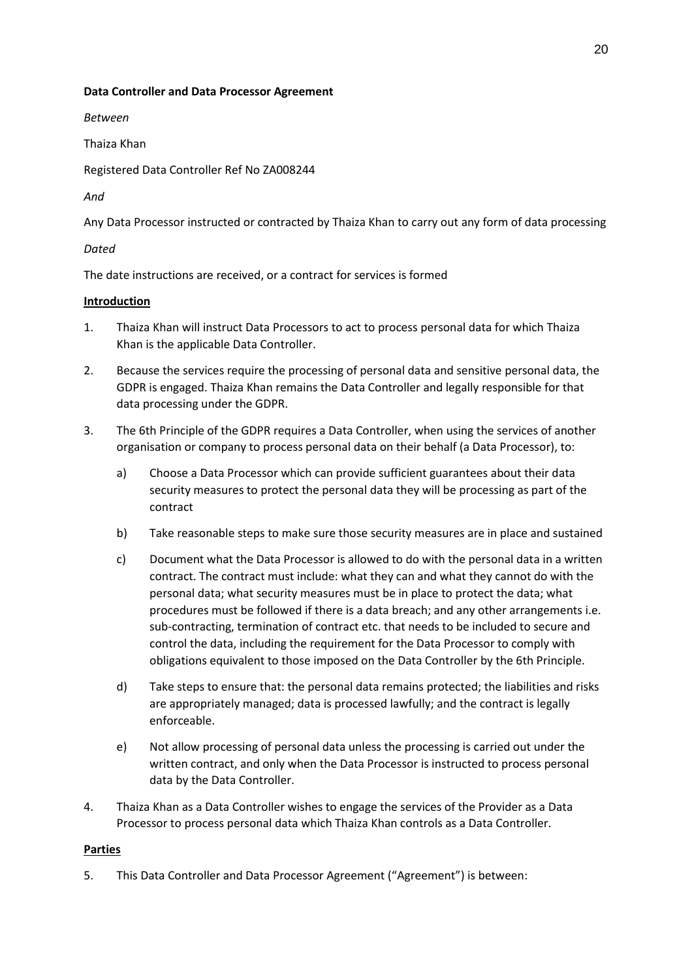### **Data Controller and Data Processor Agreement**

*Between*

Thaiza Khan

Registered Data Controller Ref No ZA008244

*And*

Any Data Processor instructed or contracted by Thaiza Khan to carry out any form of data processing

### *Dated*

The date instructions are received, or a contract for services is formed

### **Introduction**

- 1. Thaiza Khan will instruct Data Processors to act to process personal data for which Thaiza Khan is the applicable Data Controller.
- 2. Because the services require the processing of personal data and sensitive personal data, the GDPR is engaged. Thaiza Khan remains the Data Controller and legally responsible for that data processing under the GDPR.
- 3. The 6th Principle of the GDPR requires a Data Controller, when using the services of another organisation or company to process personal data on their behalf (a Data Processor), to:
	- a) Choose a Data Processor which can provide sufficient guarantees about their data security measures to protect the personal data they will be processing as part of the contract
	- b) Take reasonable steps to make sure those security measures are in place and sustained
	- c) Document what the Data Processor is allowed to do with the personal data in a written contract. The contract must include: what they can and what they cannot do with the personal data; what security measures must be in place to protect the data; what procedures must be followed if there is a data breach; and any other arrangements i.e. sub-contracting, termination of contract etc. that needs to be included to secure and control the data, including the requirement for the Data Processor to comply with obligations equivalent to those imposed on the Data Controller by the 6th Principle.
	- d) Take steps to ensure that: the personal data remains protected; the liabilities and risks are appropriately managed; data is processed lawfully; and the contract is legally enforceable.
	- e) Not allow processing of personal data unless the processing is carried out under the written contract, and only when the Data Processor is instructed to process personal data by the Data Controller.
- 4. Thaiza Khan as a Data Controller wishes to engage the services of the Provider as a Data Processor to process personal data which Thaiza Khan controls as a Data Controller.

### **Parties**

5. This Data Controller and Data Processor Agreement ("Agreement") is between: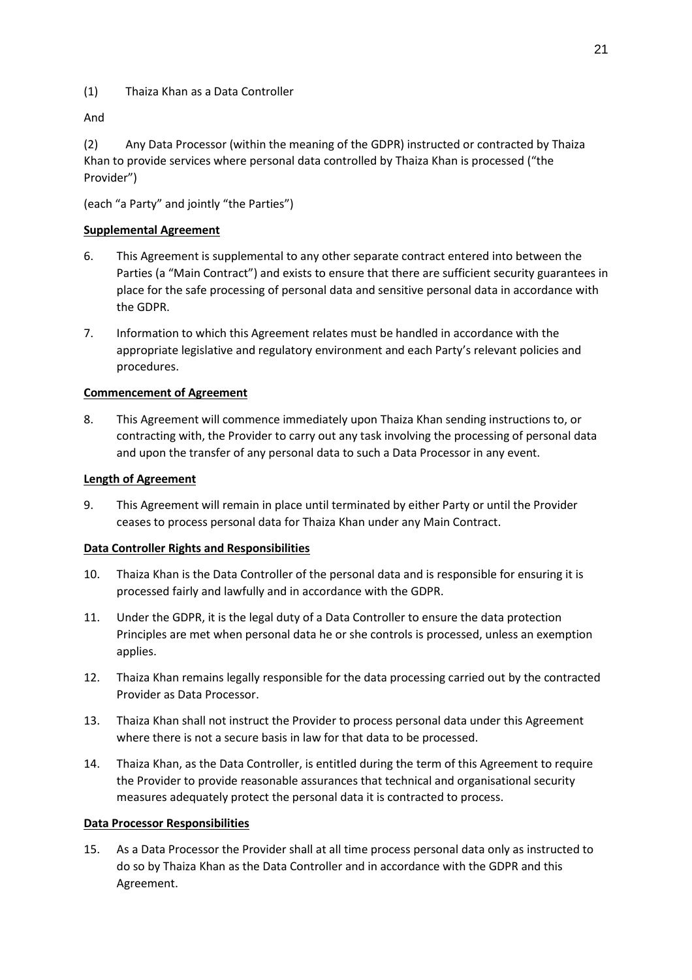(1) Thaiza Khan as a Data Controller

And

(2) Any Data Processor (within the meaning of the GDPR) instructed or contracted by Thaiza Khan to provide services where personal data controlled by Thaiza Khan is processed ("the Provider")

(each "a Party" and jointly "the Parties")

# **Supplemental Agreement**

- 6. This Agreement is supplemental to any other separate contract entered into between the Parties (a "Main Contract") and exists to ensure that there are sufficient security guarantees in place for the safe processing of personal data and sensitive personal data in accordance with the GDPR.
- 7. Information to which this Agreement relates must be handled in accordance with the appropriate legislative and regulatory environment and each Party's relevant policies and procedures.

# **Commencement of Agreement**

8. This Agreement will commence immediately upon Thaiza Khan sending instructions to, or contracting with, the Provider to carry out any task involving the processing of personal data and upon the transfer of any personal data to such a Data Processor in any event.

### **Length of Agreement**

9. This Agreement will remain in place until terminated by either Party or until the Provider ceases to process personal data for Thaiza Khan under any Main Contract.

# **Data Controller Rights and Responsibilities**

- 10. Thaiza Khan is the Data Controller of the personal data and is responsible for ensuring it is processed fairly and lawfully and in accordance with the GDPR.
- 11. Under the GDPR, it is the legal duty of a Data Controller to ensure the data protection Principles are met when personal data he or she controls is processed, unless an exemption applies.
- 12. Thaiza Khan remains legally responsible for the data processing carried out by the contracted Provider as Data Processor.
- 13. Thaiza Khan shall not instruct the Provider to process personal data under this Agreement where there is not a secure basis in law for that data to be processed.
- 14. Thaiza Khan, as the Data Controller, is entitled during the term of this Agreement to require the Provider to provide reasonable assurances that technical and organisational security measures adequately protect the personal data it is contracted to process.

### **Data Processor Responsibilities**

15. As a Data Processor the Provider shall at all time process personal data only as instructed to do so by Thaiza Khan as the Data Controller and in accordance with the GDPR and this Agreement.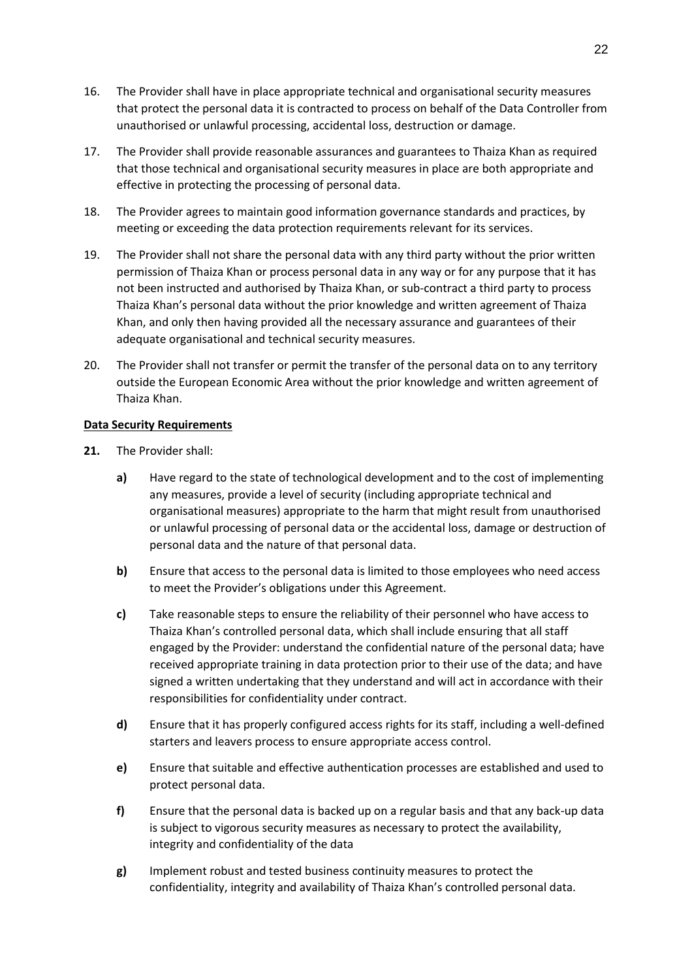- 16. The Provider shall have in place appropriate technical and organisational security measures that protect the personal data it is contracted to process on behalf of the Data Controller from unauthorised or unlawful processing, accidental loss, destruction or damage.
- 17. The Provider shall provide reasonable assurances and guarantees to Thaiza Khan as required that those technical and organisational security measures in place are both appropriate and effective in protecting the processing of personal data.
- 18. The Provider agrees to maintain good information governance standards and practices, by meeting or exceeding the data protection requirements relevant for its services.
- 19. The Provider shall not share the personal data with any third party without the prior written permission of Thaiza Khan or process personal data in any way or for any purpose that it has not been instructed and authorised by Thaiza Khan, or sub-contract a third party to process Thaiza Khan's personal data without the prior knowledge and written agreement of Thaiza Khan, and only then having provided all the necessary assurance and guarantees of their adequate organisational and technical security measures.
- 20. The Provider shall not transfer or permit the transfer of the personal data on to any territory outside the European Economic Area without the prior knowledge and written agreement of Thaiza Khan.

### **Data Security Requirements**

- **21.** The Provider shall:
	- **a)** Have regard to the state of technological development and to the cost of implementing any measures, provide a level of security (including appropriate technical and organisational measures) appropriate to the harm that might result from unauthorised or unlawful processing of personal data or the accidental loss, damage or destruction of personal data and the nature of that personal data.
	- **b)** Ensure that access to the personal data is limited to those employees who need access to meet the Provider's obligations under this Agreement.
	- **c)** Take reasonable steps to ensure the reliability of their personnel who have access to Thaiza Khan's controlled personal data, which shall include ensuring that all staff engaged by the Provider: understand the confidential nature of the personal data; have received appropriate training in data protection prior to their use of the data; and have signed a written undertaking that they understand and will act in accordance with their responsibilities for confidentiality under contract.
	- **d)** Ensure that it has properly configured access rights for its staff, including a well-defined starters and leavers process to ensure appropriate access control.
	- **e)** Ensure that suitable and effective authentication processes are established and used to protect personal data.
	- **f)** Ensure that the personal data is backed up on a regular basis and that any back-up data is subject to vigorous security measures as necessary to protect the availability, integrity and confidentiality of the data
	- **g)** Implement robust and tested business continuity measures to protect the confidentiality, integrity and availability of Thaiza Khan's controlled personal data.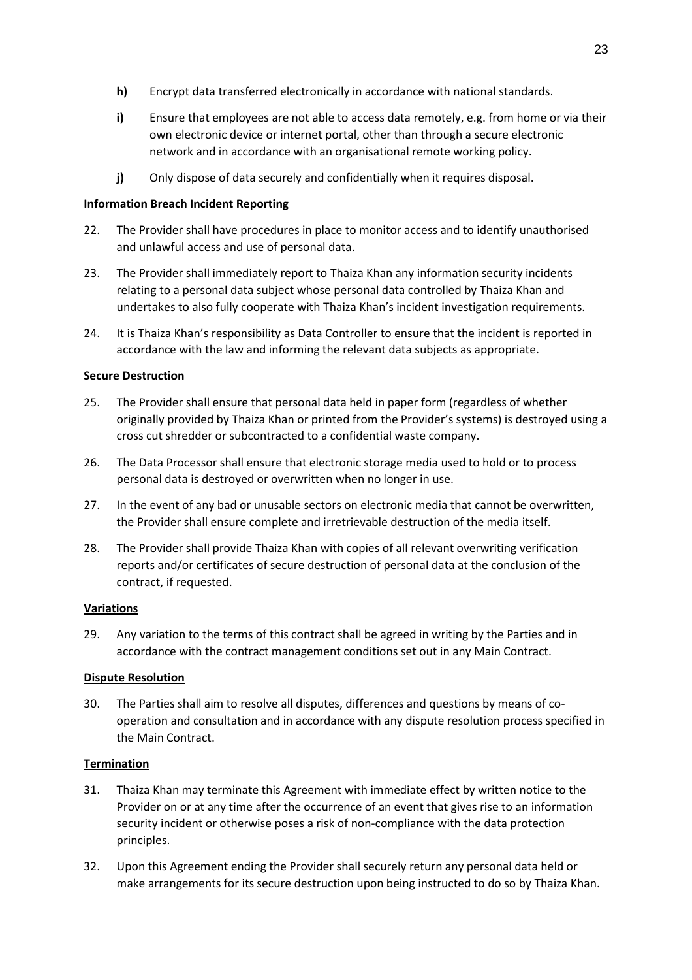- **h)** Encrypt data transferred electronically in accordance with national standards.
- **i)** Ensure that employees are not able to access data remotely, e.g. from home or via their own electronic device or internet portal, other than through a secure electronic network and in accordance with an organisational remote working policy.
- **j)** Only dispose of data securely and confidentially when it requires disposal.

## **Information Breach Incident Reporting**

- 22. The Provider shall have procedures in place to monitor access and to identify unauthorised and unlawful access and use of personal data.
- 23. The Provider shall immediately report to Thaiza Khan any information security incidents relating to a personal data subject whose personal data controlled by Thaiza Khan and undertakes to also fully cooperate with Thaiza Khan's incident investigation requirements.
- 24. It is Thaiza Khan's responsibility as Data Controller to ensure that the incident is reported in accordance with the law and informing the relevant data subjects as appropriate.

# **Secure Destruction**

- 25. The Provider shall ensure that personal data held in paper form (regardless of whether originally provided by Thaiza Khan or printed from the Provider's systems) is destroyed using a cross cut shredder or subcontracted to a confidential waste company.
- 26. The Data Processor shall ensure that electronic storage media used to hold or to process personal data is destroyed or overwritten when no longer in use.
- 27. In the event of any bad or unusable sectors on electronic media that cannot be overwritten, the Provider shall ensure complete and irretrievable destruction of the media itself.
- 28. The Provider shall provide Thaiza Khan with copies of all relevant overwriting verification reports and/or certificates of secure destruction of personal data at the conclusion of the contract, if requested.

### **Variations**

29. Any variation to the terms of this contract shall be agreed in writing by the Parties and in accordance with the contract management conditions set out in any Main Contract.

### **Dispute Resolution**

30. The Parties shall aim to resolve all disputes, differences and questions by means of cooperation and consultation and in accordance with any dispute resolution process specified in the Main Contract.

# **Termination**

- 31. Thaiza Khan may terminate this Agreement with immediate effect by written notice to the Provider on or at any time after the occurrence of an event that gives rise to an information security incident or otherwise poses a risk of non-compliance with the data protection principles.
- 32. Upon this Agreement ending the Provider shall securely return any personal data held or make arrangements for its secure destruction upon being instructed to do so by Thaiza Khan.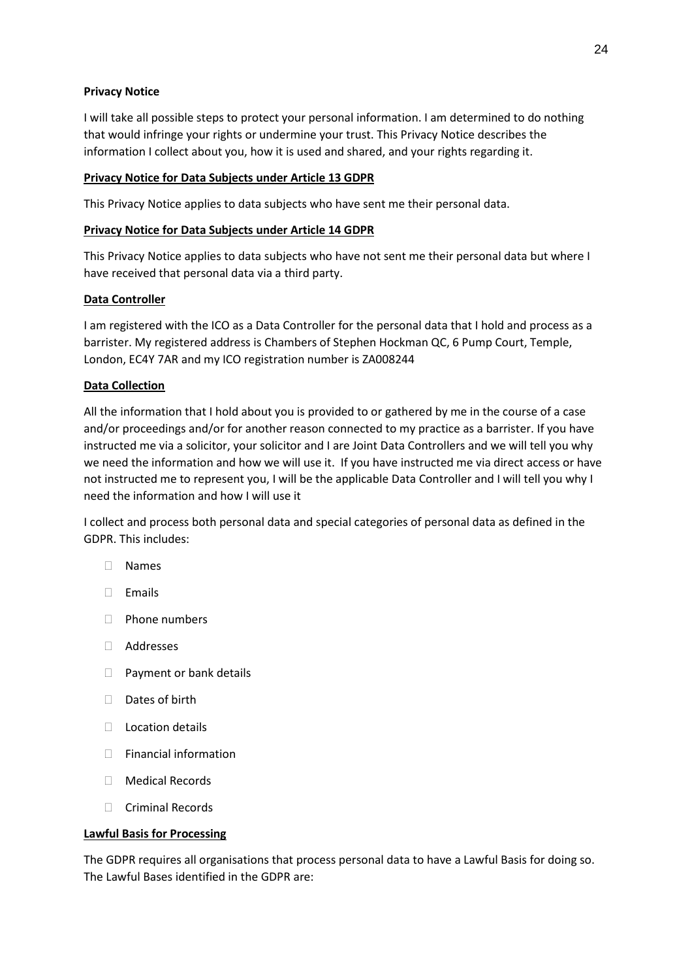## **Privacy Notice**

I will take all possible steps to protect your personal information. I am determined to do nothing that would infringe your rights or undermine your trust. This Privacy Notice describes the information I collect about you, how it is used and shared, and your rights regarding it.

## **Privacy Notice for Data Subjects under Article 13 GDPR**

This Privacy Notice applies to data subjects who have sent me their personal data.

## **Privacy Notice for Data Subjects under Article 14 GDPR**

This Privacy Notice applies to data subjects who have not sent me their personal data but where I have received that personal data via a third party.

# **Data Controller**

I am registered with the ICO as a Data Controller for the personal data that I hold and process as a barrister. My registered address is Chambers of Stephen Hockman QC, 6 Pump Court, Temple, London, EC4Y 7AR and my ICO registration number is ZA008244

# **Data Collection**

All the information that I hold about you is provided to or gathered by me in the course of a case and/or proceedings and/or for another reason connected to my practice as a barrister. If you have instructed me via a solicitor, your solicitor and I are Joint Data Controllers and we will tell you why we need the information and how we will use it. If you have instructed me via direct access or have not instructed me to represent you, I will be the applicable Data Controller and I will tell you why I need the information and how I will use it

I collect and process both personal data and special categories of personal data as defined in the GDPR. This includes:

- Names
- $\Box$  Emails
- D Phone numbers
- Addresses
- D Payment or bank details
- $\Box$  Dates of birth
- $\Box$  Location details
- □ Financial information
- Medical Records
- $\Box$  Criminal Records

### **Lawful Basis for Processing**

The GDPR requires all organisations that process personal data to have a Lawful Basis for doing so. The Lawful Bases identified in the GDPR are: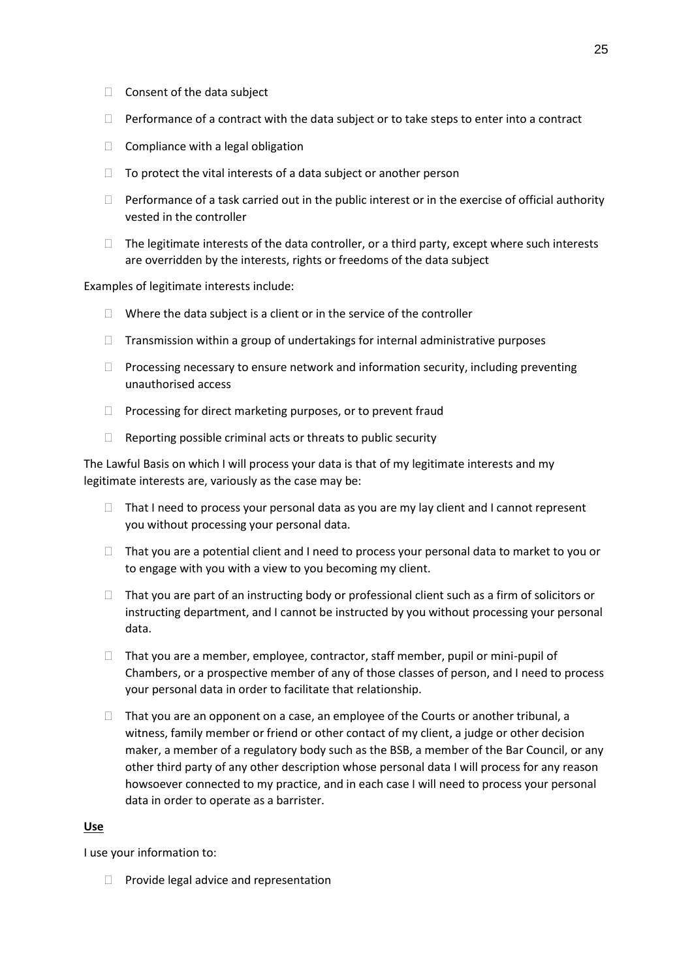- $\Box$  Consent of the data subject
- $\Box$  Performance of a contract with the data subject or to take steps to enter into a contract
- $\Box$  Compliance with a legal obligation
- $\Box$  To protect the vital interests of a data subject or another person
- $\Box$  Performance of a task carried out in the public interest or in the exercise of official authority vested in the controller
- $\Box$  The legitimate interests of the data controller, or a third party, except where such interests are overridden by the interests, rights or freedoms of the data subject

Examples of legitimate interests include:

- $\Box$  Where the data subject is a client or in the service of the controller
- $\Box$  Transmission within a group of undertakings for internal administrative purposes
- $\Box$  Processing necessary to ensure network and information security, including preventing unauthorised access
- $\Box$  Processing for direct marketing purposes, or to prevent fraud
- $\Box$  Reporting possible criminal acts or threats to public security

The Lawful Basis on which I will process your data is that of my legitimate interests and my legitimate interests are, variously as the case may be:

- $\Box$  That I need to process your personal data as you are my lay client and I cannot represent you without processing your personal data.
- $\Box$  That you are a potential client and I need to process your personal data to market to you or to engage with you with a view to you becoming my client.
- $\Box$  That you are part of an instructing body or professional client such as a firm of solicitors or instructing department, and I cannot be instructed by you without processing your personal data.
- $\Box$  That you are a member, employee, contractor, staff member, pupil or mini-pupil of Chambers, or a prospective member of any of those classes of person, and I need to process your personal data in order to facilitate that relationship.
- $\Box$  That you are an opponent on a case, an employee of the Courts or another tribunal, a witness, family member or friend or other contact of my client, a judge or other decision maker, a member of a regulatory body such as the BSB, a member of the Bar Council, or any other third party of any other description whose personal data I will process for any reason howsoever connected to my practice, and in each case I will need to process your personal data in order to operate as a barrister.

### **Use**

I use your information to:

 $\Box$  Provide legal advice and representation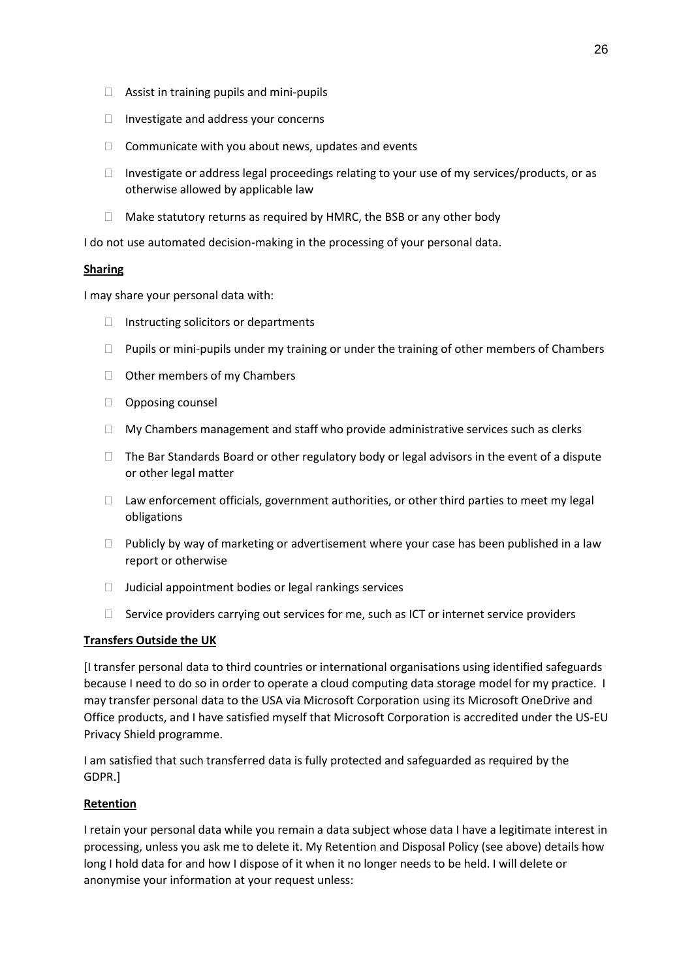- $\Box$  Assist in training pupils and mini-pupils
- $\Box$  Investigate and address your concerns
- $\Box$  Communicate with you about news, updates and events
- $\Box$  Investigate or address legal proceedings relating to your use of my services/products, or as otherwise allowed by applicable law
- $\Box$  Make statutory returns as required by HMRC, the BSB or any other body

I do not use automated decision-making in the processing of your personal data.

### **Sharing**

I may share your personal data with:

- $\Box$  Instructing solicitors or departments
- $\Box$  Pupils or mini-pupils under my training or under the training of other members of Chambers
- □ Other members of my Chambers
- **Opposing counsel**
- $\Box$  My Chambers management and staff who provide administrative services such as clerks
- $\Box$  The Bar Standards Board or other regulatory body or legal advisors in the event of a dispute or other legal matter
- $\Box$  Law enforcement officials, government authorities, or other third parties to meet my legal obligations
- $\Box$  Publicly by way of marketing or advertisement where your case has been published in a law report or otherwise
- $\Box$  Judicial appointment bodies or legal rankings services
- $\Box$  Service providers carrying out services for me, such as ICT or internet service providers

# **Transfers Outside the UK**

[I transfer personal data to third countries or international organisations using identified safeguards because I need to do so in order to operate a cloud computing data storage model for my practice. I may transfer personal data to the USA via Microsoft Corporation using its Microsoft OneDrive and Office products, and I have satisfied myself that Microsoft Corporation is accredited under the US-EU Privacy Shield programme.

I am satisfied that such transferred data is fully protected and safeguarded as required by the GDPR.]

# **Retention**

I retain your personal data while you remain a data subject whose data I have a legitimate interest in processing, unless you ask me to delete it. My Retention and Disposal Policy (see above) details how long I hold data for and how I dispose of it when it no longer needs to be held. I will delete or anonymise your information at your request unless: